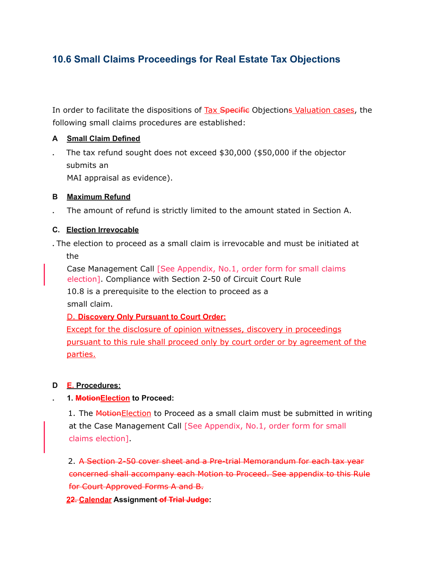# **10.6 Small Claims Proceedings for Real Estate Tax Objections**

In order to facilitate the dispositions of Tax Specific Objections Valuation cases, the following small claims procedures are established:

# **A Small Claim Defined**

**.** The tax refund sought does not exceed \$30,000 (\$50,000 if the objector submits an MAI appraisal as evidence).

## **B Maximum Refund**

**.** The amount of refund is strictly limited to the amount stated in Section A.

# **C. Election Irrevocable**

**.** The election to proceed as a small claim is irrevocable and must be initiated at the

Case Management Call [See Appendix, No.1, order form for small claims election]. Compliance with Section 2-50 of Circuit Court Rule 10.8 is a prerequisite to the election to proceed as a small claim.

## D. **Discovery Only Pursuant to Court Order:**

Except for the disclosure of opinion witnesses, discovery in proceedings pursuant to this rule shall proceed only by court order or by agreement of the parties.

## **D E. Procedures:**

## **. 1. MotionElection to Proceed:**

1. The Motion Election to Proceed as a small claim must be submitted in writing at the Case Management Call [See Appendix, No.1, order form for small claims election].

2. A Section 2-50 cover sheet and a Pre-trial Memorandum for each tax year concerned shall accompany each Motion to Proceed. See appendix to this Rule for Court Approved Forms A and B.

**22. Calendar Assignment of Trial Judge:**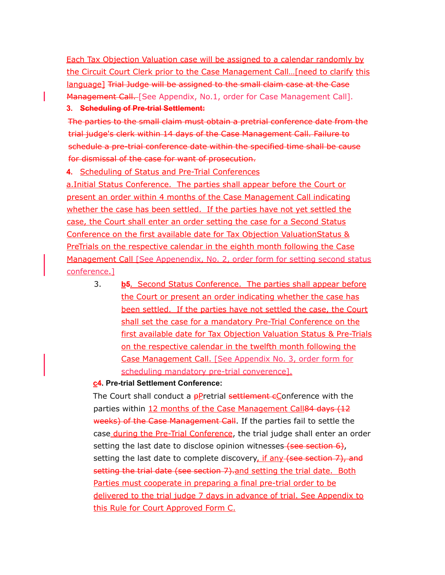Each Tax Objection Valuation case will be assigned to a calendar randomly by the Circuit Court Clerk prior to the Case Management Call...[need to clarify this language] Trial Judge will be assigned to the small claim case at the Case Management Call. [See Appendix, No.1, order for Case Management Call].

#### **3. Scheduling of Pre-trial Settlement:**

The parties to the small claim must obtain a pretrial conference date from the trial judge's clerk within 14 days of the Case Management Call. Failure to schedule a pre-trial conference date within the specified time shall be cause for dismissal of the case for want of prosecution.

## **4.** Scheduling of Status and Pre-Trial Conferences

a.Initial Status Conference. The parties shall appear before the Court or present an order within 4 months of the Case Management Call indicating whether the case has been settled. If the parties have not yet settled the case, the Court shall enter an order setting the case for a Second Status Conference on the first available date for Tax Objection ValuationStatus & PreTrials on the respective calendar in the eighth month following the Case Management Call [See Appenendix, No. 2, order form for setting second status conference.]

3. **b5.** Second Status Conference. The parties shall appear before the Court or present an order indicating whether the case has been settled. If the parties have not settled the case, the Court shall set the case for a mandatory Pre-Trial Conference on the first available date for Tax Objection Valuation Status & Pre-Trials on the respective calendar in the twelfth month following the Case Management Call. [See Appendix No. 3, order form for scheduling mandatory pre-trial converence].

## **c4. Pre-trial Settlement Conference:**

The Court shall conduct a  $p$ P retrial settlement  $\epsilon$ Conference with the parties within 12 months of the Case Management Call84 days (12 weeks) of the Case Management Call. If the parties fail to settle the case during the Pre-Trial Conference, the trial judge shall enter an order setting the last date to disclose opinion witnesses (see section 6), setting the last date to complete discovery, if any (see section 7), and setting the trial date (see section 7).and setting the trial date. Both Parties must cooperate in preparing a final pre-trial order to be delivered to the trial judge 7 days in advance of trial. See Appendix to this Rule for Court Approved Form C.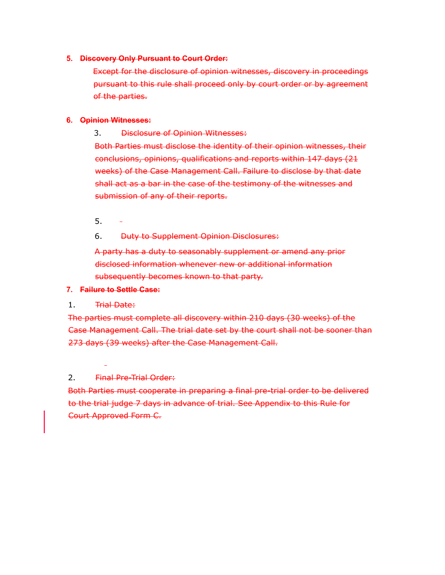#### **5. Discovery Only Pursuant to Court Order:**

Except for the disclosure of opinion witnesses, discovery in proceedings pursuant to this rule shall proceed only by court order or by agreement of the parties.

#### **6. Opinion Witnesses:**

3. Disclosure of Opinion Witnesses:

Both Parties must disclose the identity of their opinion witnesses, their conclusions, opinions, qualifications and reports within 147 days (21 weeks) of the Case Management Call. Failure to disclose by that date shall act as a bar in the case of the testimony of the witnesses and submission of any of their reports.

- 5.
- 6. Duty to Supplement Opinion Disclosures:

A party has a duty to seasonably supplement or amend any prior disclosed information whenever new or additional information subsequently becomes known to that party.

#### **7. Failure to Settle Case:**

## 1. Trial Date:

The parties must complete all discovery within 210 days (30 weeks) of the Case Management Call. The trial date set by the court shall not be sooner than 273 days (39 weeks) after the Case Management Call.

## 2. Final Pre-Trial Order:

Both Parties must cooperate in preparing a final pre-trial order to be delivered to the trial judge 7 days in advance of trial. See Appendix to this Rule for Court Approved Form C.